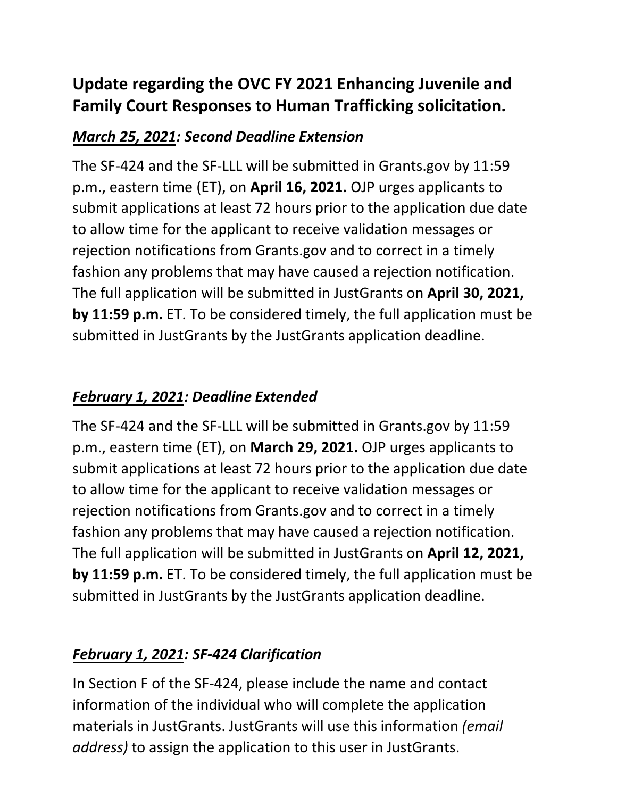# **Family Court Responses to Human Trafficking solicitation. Update regarding the OVC FY 2021 Enhancing Juvenile and**

## *March 25, 2021: Second Deadline Extension*

 submit applications at least 72 hours prior to the application due date fashion any problems that may have caused a rejection notification.  **by 11:59 p.m.** ET. To be considered timely, the full application must be submitted in JustGrants by the JustGrants application deadline. The SF-424 and the SF-LLL will be submitted in Grants.gov by 11:59 p.m., eastern time (ET), on **April 16, 2021.** OJP urges applicants to to allow time for the applicant to receive validation messages or rejection notifications from Grants.gov and to correct in a timely The full application will be submitted in JustGrants on **April 30, 2021,**

## *February 1, 2021: Deadline Extended*

 submit applications at least 72 hours prior to the application due date fashion any problems that may have caused a rejection notification.  **by 11:59 p.m.** ET. To be considered timely, the full application must be submitted in JustGrants by the JustGrants application deadline. The SF-424 and the SF-LLL will be submitted in Grants.gov by 11:59 p.m., eastern time (ET), on **March 29, 2021.** OJP urges applicants to to allow time for the applicant to receive validation messages or rejection notifications from Grants.gov and to correct in a timely The full application will be submitted in JustGrants on **April 12, 2021,**

## *February 1, 2021: SF-424 Clarification*

 materials in JustGrants. JustGrants will use this information *(email address)* to assign the application to this user in JustGrants. In Section F of the SF-424, please include the name and contact information of the individual who will complete the application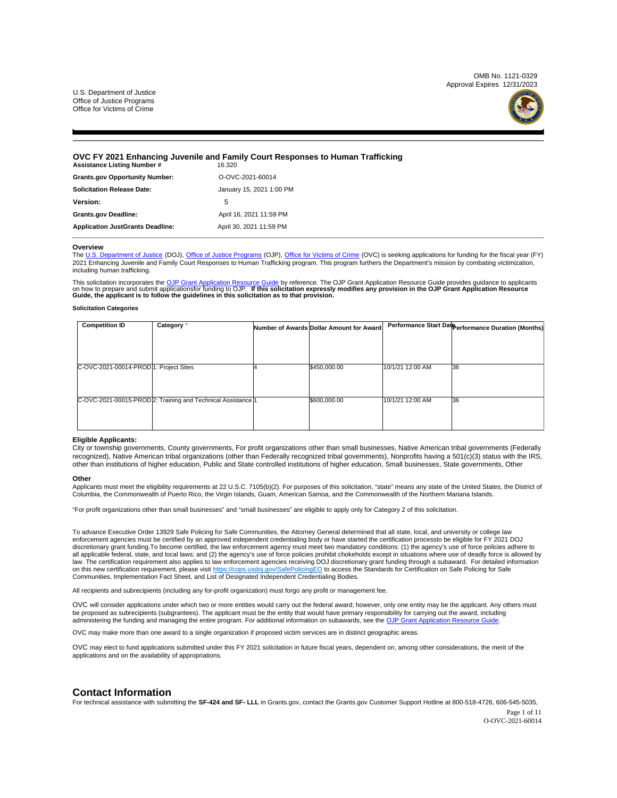

## <span id="page-1-0"></span>**OVC FY 2021 Enhancing Juvenile and Family Court Responses to Human Trafficking**

| Assistance Listing Number #             | 16.320                   |
|-----------------------------------------|--------------------------|
| <b>Grants.gov Opportunity Number:</b>   | O-OVC-2021-60014         |
| <b>Solicitation Release Date:</b>       | January 15, 2021 1:00 PM |
| Version:                                | 5                        |
| <b>Grants.gov Deadline:</b>             | April 16, 2021 11:59 PM  |
| <b>Application JustGrants Deadline:</b> | April 30, 2021 11:59 PM  |

#### **Overview**

The [U.S. Department of Justice](https://www.usdoj.gov/) (DOJ), [Office of Justice Programs](https://www.ojp.usdoj.gov/) (OJP), [Office for Victims of Crime](https://ovc.ojp.gov/) (OVC) is seeking applications for funding for the fiscal year (FY) 2021 Enhancing Juvenile and Family Court Responses to Human Trafficking program. This program furthers the Department's mission by combating victimization, including human trafficking.

This solicitation incorporates the <u>OJP Grant Application Resource Guide</u> by reference. The [OJP Grant Application Resource Guide](https://www.ojp.gov/funding/Apply/Resources/Grant-App-Resource-Guide.htm) provides guidance to applicants<br>on how to prepare and submit applicationsfor funding to OJP.

#### **Solicitation Categories**

| <b>Competition ID</b>                  | Category *                                                   | Number of Awards Dollar Amount for Award |                  | Performance Start Date erformance Duration (Months) |
|----------------------------------------|--------------------------------------------------------------|------------------------------------------|------------------|-----------------------------------------------------|
|                                        |                                                              |                                          |                  |                                                     |
|                                        |                                                              |                                          |                  |                                                     |
| C-OVC-2021-00014-PROD 1: Project Sites |                                                              | \$450,000.00                             | 10/1/21 12:00 AM | <b>36</b>                                           |
|                                        |                                                              |                                          |                  |                                                     |
|                                        |                                                              |                                          |                  |                                                     |
|                                        | C-OVC-2021-00015-PROD 2: Training and Technical Assistance 1 | \$600,000.00                             | 10/1/21 12:00 AM | 36                                                  |
|                                        |                                                              |                                          |                  |                                                     |
|                                        |                                                              |                                          |                  |                                                     |

#### **Eligible Applicants:**

City or township governments, County governments, For profit organizations other than small businesses, Native American tribal governments (Federally recognized), Native American tribal organizations (other than Federally recognized tribal governments), Nonprofits having a 501(c)(3) status with the IRS, other than institutions of higher education, Public and State controlled institutions of higher education, Small businesses, State governments, Other

#### **Other**

Applicants must meet the eligibility requirements at 22 U.S.C. 7105(b)(2). For purposes of this solicitation, "state" means any state of the United States, the District of Columbia, the Commonwealth of Puerto Rico, the Virgin Islands, Guam, American Samoa, and the Commonwealth of the Northern Mariana Islands.

"For profit organizations other than small businesses" and "small businesses" are eligible to apply only for Category 2 of this solicitation.

To advance Executive Order 13929 Safe Policing for Safe Communities, the Attorney General determined that all state, local, and university or college law enforcement agencies must be certified by an approved independent credentialing body or have started the certification process to be eligible for FY 2021 DOJ discretionary grant funding. To become certified, the law enforcement agency must meet two mandatory conditions: (1) the agency's use of force policies adhere to all applicable federal, state, and local laws; and (2) the agency's use of force policies prohibit chokeholds except in situations where use of deadly force is allowed by<br>Iaw. The certification requirement also applies to on this new certification requirement, please visit<https://cops.usdoj.gov/SafePolicingEO>to access the Standards for Certification on Safe Policing for Safe Communities, Implementation Fact Sheet, and List of Designated Independent Credentialing Bodies.

All recipients and subrecipients (including any for-profit organization) must forgo any profit or management fee.

OVC will consider applications under which two or more entities would carry out the federal award; however, only one entity may be the applicant. Any others must be proposed as subrecipients (subgrantees). The applicant must be the entity that would have primary responsibility for carrying out the award, including<br>administering the funding and managing the entire program. For addit

OVC may make more than one award to a single organization if proposed victim services are in distinct geographic areas.

OVC may elect to fund applications submitted under this FY 2021 solicitation in future fiscal years, dependent on, among other considerations, the merit of the applications and on the availability of appropriations.

## **Contact Information**

For technical assistance with submitting the SF-424 and SF- LLL in [Grants.gov,](https://Grants.gov) contact the [Grants.gov](https://Grants.gov) Customer Support Hotline at 800-518-4726, 606-545-5035,

Page 1 of 11 O-OVC-2021-60014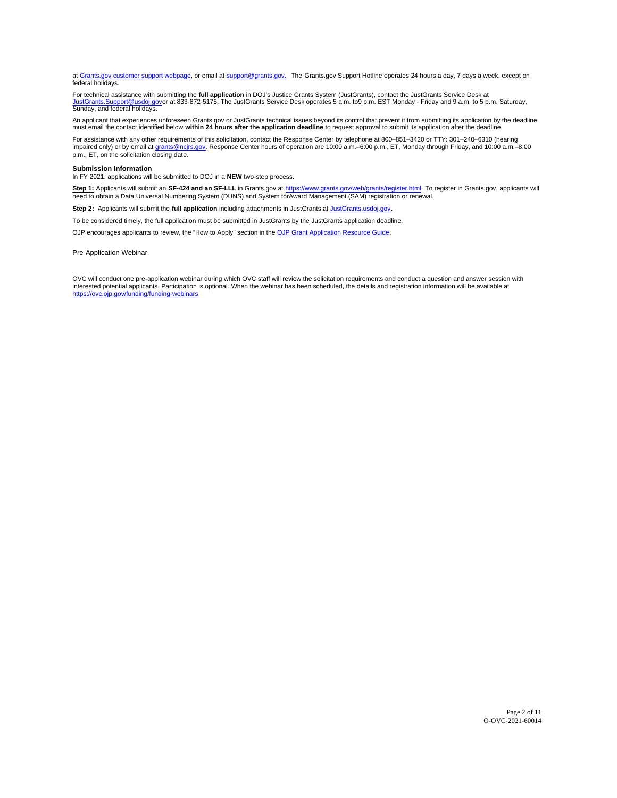at [Grants.gov customer support webpage,](https://www.grants.gov/web/grants/support.html) or email at [support@grants.gov.](http://support@grants.gov.) The [Grants.gov](https://Grants.gov) Support Hotline operates 24 hours a day, 7 days a week, except on federal holidays.

For technical assistance with submitting the **full application** in DOJ's Justice Grants System (JustGrants), contact the JustGrants Service Desk at<br>J<u>ustGrants Support@usdoi gov</u>or at 833-872-5175. The JustGrants Service

An applicant that experiences unforeseen Grants.gov or JustGrants technical issues beyond its control that prevent it from submitting its application by the deadline must email the contact identified below **within 24 hours after the application deadline** to request approval to submit its application after the deadline.

For assistance with any other requirements of this solicitation, contact the Response Center by telephone at 800–851–3420 or TTY: 301–240–6310 (hearing<br>impaired only) or by email at <u>grants@ncjrs.gov</u>. Response Center hour

#### **Submission Information**

In FY 2021, applications will be submitted to DOJ in a **NEW** two-step process.

Step 1: Applicants will submit an SF-424 and an SF-LLL in Grants.gov at [https://www.grants.gov/web/grants/register.html.](https://www.grants.gov/web/grants/register.html) To register in [Grants.gov](https://Grants.gov), applicants will need to obtain a Data Universal Numbering System (DUNS) and System for Award Management (SAM) registration or renewal.

Step 2: Applicants will submit the full application including attachments in JustGrants at [JustGrants.usdoj.gov](https://justicegrants.usdoj.gov/).

To be considered timely, the full application must be submitted in JustGrants by the JustGrants application deadline.

OJP encourages applicants to review, the "How to Apply" section in the [OJP Grant Application Resource Guide.](https://www.ojp.gov/funding/apply/ojp-grant-application-resource-guide#apply)

#### Pre-Application Webinar

OVC will conduct one pre-application webinar during which OVC staff will review the solicitation requirements and conduct a question and answer session with interested potential applicants. Participation is optional. When the webinar has been scheduled, the details and registration information will be available at [https://ovc.ojp.gov/funding/funding-webinars.](https://ovc.ojp.gov/funding/funding-webinars)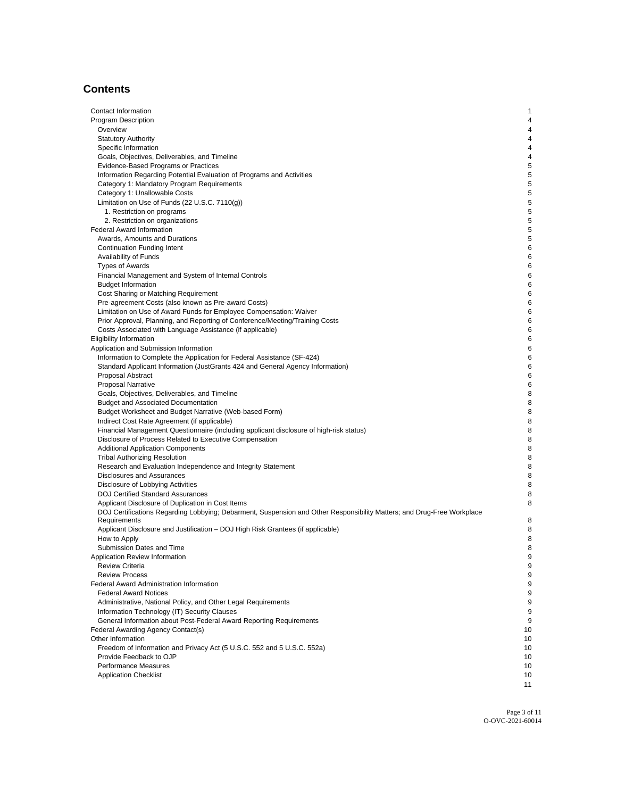## **Contents**

| Contact Information                                                                                                    | $\mathbf{1}$ |
|------------------------------------------------------------------------------------------------------------------------|--------------|
|                                                                                                                        |              |
| <b>Program Description</b>                                                                                             | 4            |
| Overview                                                                                                               | 4            |
| <b>Statutory Authority</b>                                                                                             | 4            |
| Specific Information                                                                                                   | 4            |
| Goals, Objectives, Deliverables, and Timeline                                                                          | 4            |
| Evidence-Based Programs or Practices                                                                                   | 5            |
| Information Regarding Potential Evaluation of Programs and Activities                                                  | 5            |
| Category 1: Mandatory Program Requirements                                                                             | 5            |
| Category 1: Unallowable Costs                                                                                          | 5            |
| Limitation on Use of Funds $(22 U.S.C. 7110(g))$                                                                       | 5            |
| 1. Restriction on programs                                                                                             | 5            |
| 2. Restriction on organizations                                                                                        | 5            |
| <b>Federal Award Information</b>                                                                                       | 5            |
| Awards, Amounts and Durations                                                                                          | 5            |
|                                                                                                                        |              |
| <b>Continuation Funding Intent</b>                                                                                     | 6            |
| Availability of Funds                                                                                                  | 6            |
| <b>Types of Awards</b>                                                                                                 | 6            |
| Financial Management and System of Internal Controls                                                                   | 6            |
| <b>Budget Information</b>                                                                                              | 6            |
| Cost Sharing or Matching Requirement                                                                                   | 6            |
| Pre-agreement Costs (also known as Pre-award Costs)                                                                    | 6            |
| Limitation on Use of Award Funds for Employee Compensation: Waiver                                                     | 6            |
| Prior Approval, Planning, and Reporting of Conference/Meeting/Training Costs                                           | 6            |
| Costs Associated with Language Assistance (if applicable)                                                              | 6            |
| <b>Eligibility Information</b>                                                                                         | 6            |
| Application and Submission Information                                                                                 | 6            |
| Information to Complete the Application for Federal Assistance (SF-424)                                                | 6            |
| Standard Applicant Information (JustGrants 424 and General Agency Information)                                         | 6            |
| Proposal Abstract                                                                                                      | 6            |
|                                                                                                                        |              |
| <b>Proposal Narrative</b>                                                                                              | 6            |
| Goals, Objectives, Deliverables, and Timeline                                                                          | 8            |
| <b>Budget and Associated Documentation</b>                                                                             | 8            |
| Budget Worksheet and Budget Narrative (Web-based Form)                                                                 | 8            |
| Indirect Cost Rate Agreement (if applicable)                                                                           | 8            |
| Financial Management Questionnaire (including applicant disclosure of high-risk status)                                | 8            |
| Disclosure of Process Related to Executive Compensation                                                                | 8            |
| <b>Additional Application Components</b>                                                                               | 8            |
| <b>Tribal Authorizing Resolution</b>                                                                                   | 8            |
| Research and Evaluation Independence and Integrity Statement                                                           | 8            |
| Disclosures and Assurances                                                                                             | 8            |
| Disclosure of Lobbying Activities                                                                                      | 8            |
| <b>DOJ Certified Standard Assurances</b>                                                                               | 8            |
| Applicant Disclosure of Duplication in Cost Items                                                                      | 8            |
| DOJ Certifications Regarding Lobbying; Debarment, Suspension and Other Responsibility Matters; and Drug-Free Workplace |              |
| Requirements                                                                                                           | 8            |
| Applicant Disclosure and Justification - DOJ High Risk Grantees (if applicable)                                        | 8            |
| How to Apply                                                                                                           | 8            |
| Submission Dates and Time                                                                                              | 8            |
| Application Review Information                                                                                         | 9            |
| <b>Review Criteria</b>                                                                                                 | 9            |
|                                                                                                                        |              |
| <b>Review Process</b>                                                                                                  | 9            |
| Federal Award Administration Information                                                                               | 9            |
| <b>Federal Award Notices</b>                                                                                           | 9            |
| Administrative, National Policy, and Other Legal Requirements                                                          | 9            |
| Information Technology (IT) Security Clauses                                                                           | 9            |
| General Information about Post-Federal Award Reporting Requirements                                                    | 9            |
| Federal Awarding Agency Contact(s)                                                                                     | 10           |
| Other Information                                                                                                      | 10           |
| Freedom of Information and Privacy Act (5 U.S.C. 552 and 5 U.S.C. 552a)                                                | 10           |
| Provide Feedback to OJP                                                                                                | 10           |
| Performance Measures                                                                                                   | 10           |
| <b>Application Checklist</b>                                                                                           | 10           |
|                                                                                                                        | 11           |

Page 3 of 11 O-OVC-2021-60014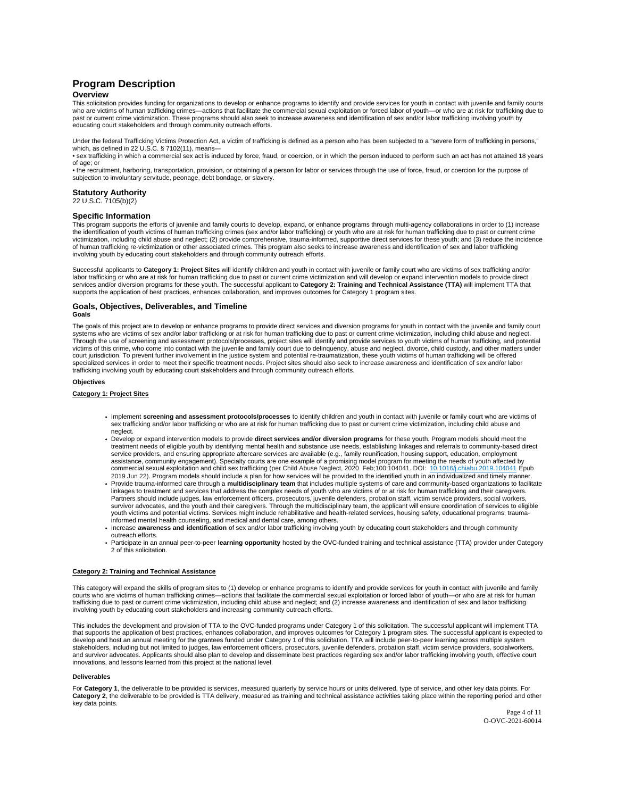## <span id="page-4-0"></span>**Program Description Overview**

This solicitation provides funding for organizations to develop or enhance programs to identify and provide services for youth in contact with juvenile and family courts<br>who are victims of human trafficking crimes—actions past or current crime victimization. These programs should also seek to increase awareness and identification of sex and/or labor trafficking involving youth by educating court stakeholders and through community outreach efforts.

Under the federal Trafficking Victims Protection Act, a victim of trafficking is defined as a person who has been subjected to a "severe form of trafficking in persons,"<br>which, as defined in 22 U.S.C. § 7102(11), means—

• sex trafficking in which a commercial sex act is induced by force, fraud, or coercion, or in which the person induced to perform such an act has not attained 18 years of age; or

• the recruitment, harboring, transportation, provision, or obtaining of a person for labor or services through the use of force, fraud, or coercion for the purpose of subjection to involuntary servitude, peonage, debt bondage, or slavery.

## **Statutory Authority**

22 U.S.C. 7105(b)(2)

#### **Specific Information**

This program supports the efforts of juvenile and family courts to develop, expand, or enhance programs through multi-agency collaborations in order to (1) increase the identification of youth victims of human trafficking crimes (sex and/or labor trafficking) or youth who are at risk for human trafficking due to past or current crime victimization, including child abuse and neglect; (2) provide comprehensive, trauma-informed, supportive direct services for these youth; and (3) reduce the incidence of human trafficking re-victimization or other associated crimes. This program also seeks to increase awareness and identification of sex and labor trafficking involving youth by educating court stakeholders and through community outreach efforts.

Successful applicants to **Category 1: Project Sites** will identify children and youth in contact with juvenile or family court who are victims of sex trafficking and/or<br>labor trafficking or who are at risk for human traffi services and/or diversion programs for these youth. The successful applicant to **Category 2: Training and Technical Assistance (TTA)** will implement TTA that<br>supports the application of best practices, enhances collaborati

## **Goals, Objectives, Deliverables, and Timeline**

**Goals** 

The goals of this project are to develop or enhance programs to provide direct services and diversion programs for youth in contact with the juvenile and family court<br>systems who are victims of sex and/or labor trafficking Through the use of screening and assessment protocols/processes, project sites will identify and provide services to youth victims of human trafficking, and potential victims of this crime, who come into contact with the juvenile and family court due to delinquency, abuse and neglect, divorce, child custody, and other matters under court jurisdiction. To prevent further involvement in the justice system and potential re-traumatization, these youth victims of human trafficking will be offered<br>specialized services in order to meet their specific treatm trafficking involving youth by educating court stakeholders and through community outreach efforts.

#### **Objectives**

#### **Category 1: Project Sites**

- Implement **screening and assessment protocols/processes** to identify children and youth in contact with juvenile or family court who are victims of<br>sex trafficking and/or labor trafficking or who are at risk for human traf neglect.
- Develop or expand intervention models to provide **direct services and/or diversion programs** for these youth. Program models should meet the treatment needs of eligible youth by identifying mental health and substance use needs, establishing linkages and referrals to community-based direct service providers, and ensuring appropriate aftercare services are available (e.g., family reunification, housing support, education, employment<br>assistance, community engagement). Specialty courts are one example of a prom commercial sexual exploitation and child sex trafficking (per Child Abuse Neglect, 2020 Feb;100:104041. DOI: [10.1016/j.chiabu.2019.104041](https://doi.org/10.1016/j.chiabu.2019.104041) Epub 2019 Jun 22). Program models should include a plan for how services will be provided to the identified youth in an individualized and timely manner.
- . Provide trauma-informed care through a multidisciplinary team that includes multiple systems of care and community-based organizations to facilitate linkages to treatment and services that address the complex needs of youth who are victims of or at risk for human trafficking and their caregivers. Partners should include judges, law enforcement officers, prosecutors, juvenile defenders, probation staff, victim service providers, social workers,<br>survivor advocates, and the youth and their caregivers. Through the mult youth victims and potential victims. Services might include rehabilitative and health-related services, housing safety, educational programs, traumainformed mental health counseling, and medical and dental care, among others.
- . Increase awareness and identification of sex and/or labor trafficking involving youth by educating court stakeholders and through community outreach efforts.
- Participate in an annual peer-to-peer **learning opportunity** hosted by the OVC-funded training and technical assistance (TTA) provider under Category 2 of this solicitation.

#### **Category 2: Training and Technical Assistance**

This category will expand the skills of program sites to (1) develop or enhance programs to identify and provide services for youth in contact with juvenile and family courts who are victims of human trafficking crimes—actions that facilitate the commercial sexual exploitation or forced labor of youth—or who are at risk for human<br>trafficking due to past or current crime victimization, in involving youth by educating court stakeholders and increasing community outreach efforts.

This includes the development and provision of TTA to the OVC-funded programs under Category 1 of this solicitation. The successful applicant will implement TTA that supports the application of best practices, enhances collaboration, and improves outcomes for Category 1 program sites. The successful applicant is expected to develop and host an annual meeting for the grantees funded under Category 1 of this solicitation. TTA will include peer-to-peer learning across multiple system stakeholders, including but not limited to judges, law enforcement officers, prosecutors, juvenile defenders, probation staff, victim service providers, socialworkers,<br>and survivor advocates. Applicants should also plan to innovations, and lessons learned from this project at the national level.

#### **Deliverables**

For Category 1, the deliverable to be provided is services, measured quarterly by service hours or units delivered, type of service, and other key data points. For **Category 2**, the deliverable to be provided is TTA delivery, measured as training and technical assistance activities taking place within the reporting period and other key data points.

> Page 4 of 11 O-OVC-2021-60014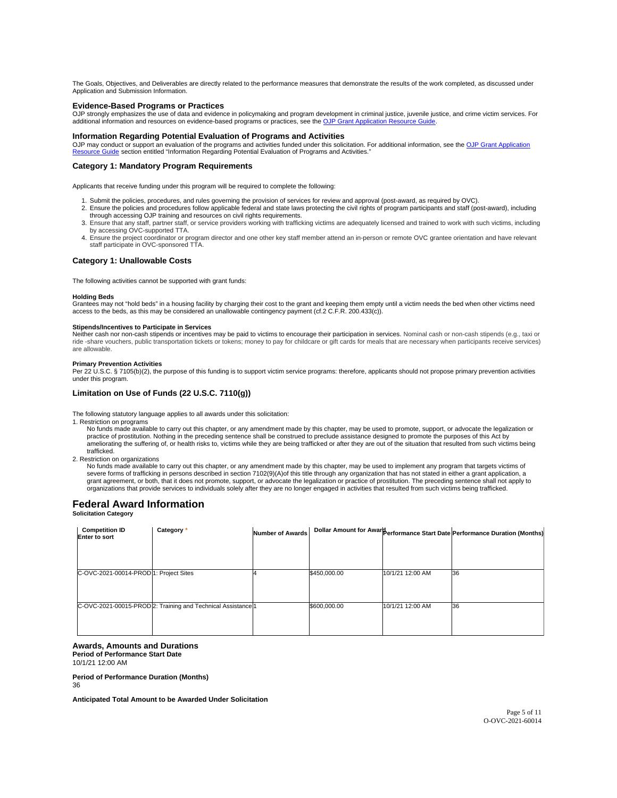<span id="page-5-0"></span>The Goals, Objectives, and Deliverables are directly related to the performance measures that demonstrate the results of the work completed, as discussed under Application and Submission Information.

## **Evidence-Based Programs or Practices**

OJP strongly emphasizes the use of data and evidence in policymaking and program development in criminal justice, juvenile justice, and crime victim services. For additional information and resources on evidence-based programs or practices, see the OJP Grant Application Resource Guide

## **Information Regarding Potential Evaluation of Programs and Activities**

OJP may conduct or support an evaluation of the programs and activities funded under this solicitation. For additional information, see the <u>OJP Grant Application</u><br><u>Resource Guide</u> section entitled "Information Regarding P

## **Category 1: Mandatory Program Requirements**

Applicants that receive funding under this program will be required to complete the following:

- 1. Submit the policies, procedures, and rules governing the provision of services for review and approval (post-award, as required by OVC).
- 2. Ensure the policies and procedures follow applicable federal and state laws protecting the civil rights of program participants and staff (post-award), including<br>through accessing OJP training and resources on civil rig
- 3. Ensure that any staff, partner staff, or service providers working with trafficking victims are adequately licensed and trained to work with such victims, including by accessing OVC-supported TTA.
- 4. Ensure the project coordinator or program director and one other key staff member attend an in-person or remote OVC grantee orientation and have relevant staff participate in OVC-sponsored TTA.

#### **Category 1: Unallowable Costs**

The following activities cannot be supported with grant funds:

#### **Holding Beds**

Grantees may not "hold beds" in a housing facility by charging their cost to the grant and keeping them empty until a victim needs the bed when other victims need access to the beds, as this may be considered an unallowable contingency payment (cf.2 C.F.R. 200.433(c)).

#### **Stipends/Incentives to Participate in Services**

Neither cash nor non-cash stipends or incentives may be paid to victims to encourage their participation in services. Nominal cash or non-cash stipends (e.g., taxi or ride -share vouchers, public transportation tickets or tokens; money to pay for childcare or gift cards for meals that are necessary when participants receive services) are allowable.

**Primary Prevention Activities**<br>Per 22 U.S.C. § 7105(b)(2), the purpose of this funding is to support victim service programs: therefore, applicants should not propose primary prevention activities under this program.

## **Limitation on Use of Funds (22 U.S.C. 7110(g))**

The following statutory language applies to all awards under this solicitation:

1. Restriction on programs

No funds made available to carry out this chapter, or any amendment made by this chapter, may be used to promote, support, or advocate the legalization or practice of prostitution. Nothing in the preceding sentence shall be construed to preclude assistance designed to promote the purposes of this Act by ameliorating the suffering of, or health risks to, victims while they are being trafficked or after they are out of the situation that resulted from such victims being trafficked.

2. Restriction on organizations

No funds made available to carry out this chapter, or any amendment made by this chapter, may be used to implement any program that targets victims of severe forms of trafficking in persons described in section 7102(9)(A) of this title through any organization that has not stated in either a grant application, a grant agreement, or both, that it does not promote, support, or advocate the legalization or practice of prostitution. The preceding sentence shall not apply to organizations that provide services to individuals solely after they are no longer engaged in activities that resulted from such victims being trafficked.

## **Federal Award Information**

## **Solicitation Category**

| <b>Competition ID</b><br><b>Enter to sort</b> | Category *                                                   | <b>Number of Awards</b> |              |                  | Dollar Amount for Aware erformance Start Date Performance Duration (Months) |
|-----------------------------------------------|--------------------------------------------------------------|-------------------------|--------------|------------------|-----------------------------------------------------------------------------|
|                                               |                                                              |                         |              |                  |                                                                             |
|                                               |                                                              |                         |              |                  |                                                                             |
| C-OVC-2021-00014-PROD 1: Project Sites        |                                                              |                         | \$450,000.00 | 10/1/21 12:00 AM | 36                                                                          |
|                                               |                                                              |                         |              |                  |                                                                             |
|                                               | C-OVC-2021-00015-PROD 2: Training and Technical Assistance 1 |                         | \$600,000.00 | 10/1/21 12:00 AM | 36                                                                          |
|                                               |                                                              |                         |              |                  |                                                                             |
|                                               |                                                              |                         |              |                  |                                                                             |

#### **Awards, Amounts and Durations Period of Performance Start Date**

10/1/21 12:00 AM

**Period of Performance Duration (Months)** 

36

**Anticipated Total Amount to be Awarded Under Solicitation**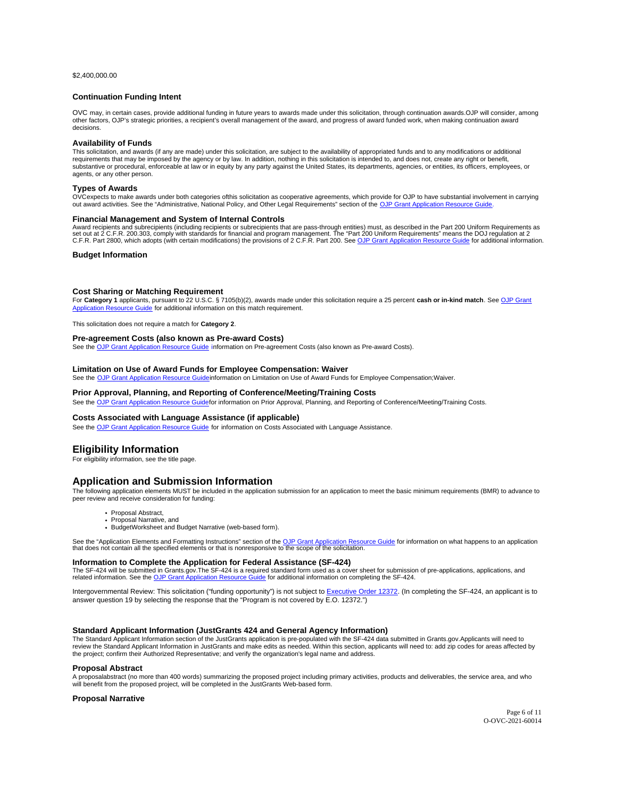<span id="page-6-0"></span>\$[2,400,000.00](https://2,400,000.00)

#### **Continuation Funding Intent**

OVC may, in certain cases, provide additional funding in future years to awards made under this solicitation, through continuation awards. OJP will consider, among other factors, OJP's strategic priorities, a recipient's overall management of the award, and progress of award funded work, when making continuation award decisions.

#### **Availability of Funds**

This solicitation, and awards (if any are made) under this solicitation, are subject to the availability of appropriated funds and to any modifications or additional requirements that may be imposed by the agency or by law. In addition, nothing in this solicitation is intended to, and does not, create any right or benefit, substantive or procedural, enforceable at law or in equity by any party against the United States, its departments, agencies, or entities, its officers, employees, or agents, or any other person.

#### **Types of Awards**

OVC expects to make awards under both categories of this solicitation as cooperative agreements, which provide for OJP to have substantial involvement in carrying out award activities. See the "Administrative, National Policy, and Other Legal Requirements" section of the [OJP Grant Application Resource Guide.](https://www.ojp.gov/funding/apply/ojp-grant-application-resource-guide#administrative)

#### **Financial Management and System of Internal Controls**

Award recipients and subrecipients (including recipients or subrecipients that are pass-through entities) must, as described in the Part 200 Uniform Requirements as<br>set out at 2 C.F.R. 200.303, comply with standards for fi C.F.R. Part 2800, which adopts (with certain modifications) the provisions of 2 C.F.R. Part 200. See [OJP Grant Application Resource Guide](https://www.ojp.gov/funding/apply/ojp-grant-application-resource-guide#fm-internal-controls) for additional information.

## **Budget Information**

## **Cost Sharing or Matching Requirement**

For **Category 1** applicants, pursuant to 22 U.S.C. § 7105(b)(2), awards made under this solicitation require a 25 percent **cash or in-kind match**. See [OJP Grant](https://www.ojp.gov/funding/Apply/Resources/Grant-App-Resource-Guide.htm#costSharing)  [Application Resource Guide](https://www.ojp.gov/funding/Apply/Resources/Grant-App-Resource-Guide.htm#costSharing) for additional information on this match requirement.

This solicitation does not require a match for **Category 2**.

## **Pre-agreement Costs (also known as Pre-award Costs)**

See the [OJP Grant Application Resource Guide](https://www.ojp.gov/funding/apply/ojp-grant-application-resource-guide#pre-agreement-costs) information on Pre-agreement Costs (also known as Pre-award Costs).

## **Limitation on Use of Award Funds for Employee Compensation: Waiver**

See the [OJP Grant Application Resource Guide](https://www.ojp.gov/funding/apply/ojp-grant-application-resource-guide#limitation-use-award) information on Limitation on Use of Award Funds for Employee Compensation; Waiver.

## **Prior Approval, Planning, and Reporting of Conference/Meeting/Training Costs**

See the OJP Grant Application Resource Guidefor information on Prior Approval, Planning, and Reporting of Conference/Meeting/Training Costs.

## **Costs Associated with Language Assistance (if applicable)**

See the [OJP Grant Application Resource Guide](https://www.ojp.gov/funding/apply/ojp-grant-application-resource-guide#costs-associated) for information on Costs Associated with Language Assistance.

## **Eligibility Information**

For eligibility information, see the title page.

## **Application and Submission Information**

The following application elements MUST be included in the application submission for an application to meet the basic minimum requirements (BMR) to advance to peer review and receive consideration for funding:

- Proposal Abstract, • Proposal Narrative, and
- 
- Budget Worksheet and Budget Narrative (web-based form).

See the "Application Elements and Formatting Instructions" section of the <u>OJP Grant Application Resource Guide</u> for information on what happens to an application<br>that does not contain all the specified elements or that is

## **Information to Complete the Application for Federal Assistance (SF-424)**

The SF-424 will be submitted in [Grants.gov.](https://Grants.gov)The SF-424 is a required standard form used as a cover sheet for submission of pre-applications, applications, and<br>related information. See the <u>OJP Grant Application Resource Gui</u>

Intergovernmental Review: This solicitation ("funding opportunity") is not subject to [Executive Order 12372.](https://www.archives.gov/federal-register/codification/executive-order/12372.html) (In completing the SF-424, an applicant is to answer question 19 by selecting the response that the "Program is not covered by E.O. 12372.")

## **Standard Applicant Information (JustGrants 424 and General Agency Information)**

The Standard Applicant Information section of the JustGrants application is pre-populated with the SF-424 data submitted in [Grants.gov](https://Grants.gov). Applicants will need to review the Standard Applicant Information in JustGrants and make edits as needed. Within this section, applicants will need to: add zip codes for areas affected by the project; confirm their Authorized Representative; and verify the organization's legal name and address.

## **Proposal Abstract**

A proposalabstract (no more than 400 words) summarizing the proposed project including primary activities, products and deliverables, the service area, and who<br>will benefit from the proposed project, will be completed in t

#### **Proposal Narrative**

Page 6 of 11 O-OVC-2021-60014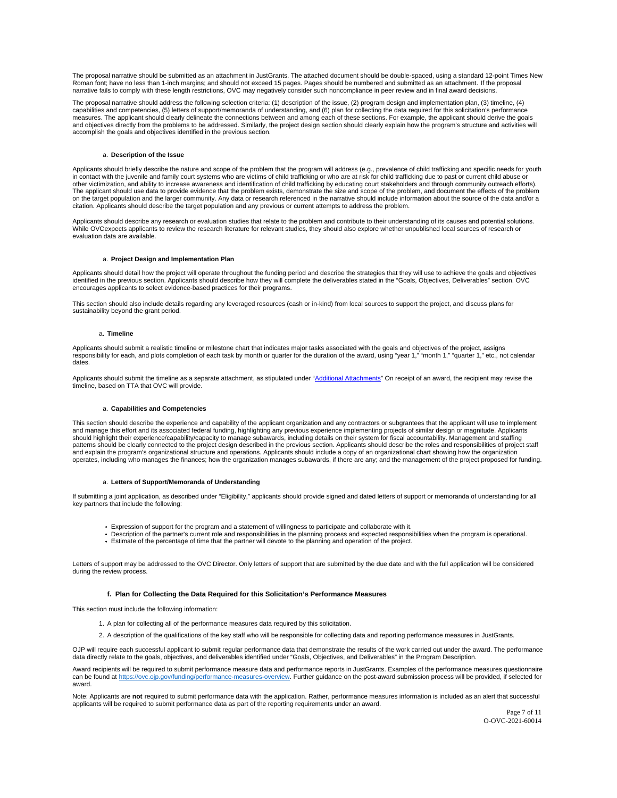The proposal narrative should be submitted as an attachment in JustGrants. The attached document should be double-spaced, using a standard 12-point Times New Roman font; have no less than 1-inch margins; and should not exceed 15 pages. Pages should be numbered and submitted as an attachment. If the proposal narrative fails to comply with these length restrictions, OVC may negatively consider such noncompliance in peer review and in final award decisions.

The proposal narrative should address the following selection criteria: (1) description of the issue, (2) program design and implementation plan, (3) timeline, (4) capabilities and competencies, (5) letters of support/memoranda of understanding, and (6) plan for collecting the data required for this solicitation's performance measures. The applicant should clearly delineate the connections between and among each of these sections. For example, the applicant should derive the goals and objectives directly from the problems to be addressed. Similarly, the project design section should clearly explain how the program's structure and activities will accomplish the goals and objectives identified in the previous section.

#### a. **Description of the Issue**

Applicants should briefly describe the nature and scope of the problem that the program will address (e.g., prevalence of child trafficking and specific needs for youth in contact with the juvenile and family court systems who are victims of child trafficking or who are at risk for child trafficking due to past or current child abuse or<br>other victimization, and ability to increase awarene The applicant should use data to provide evidence that the problem exists, demonstrate the size and scope of the problem, and document the effects of the problem on the target population and the larger community. Any data or research referenced in the narrative should include information about the source of the data and/or a citation. Applicants should describe the target population and any previous or current attempts to address the problem.

Applicants should describe any research or evaluation studies that relate to the problem and contribute to their understanding of its causes and potential solutions. While OVC expects applicants to review the research literature for relevant studies, they should also explore whether unpublished local sources of research or evaluation data are available.

#### a. **Project Design and Implementation Plan**

Applicants should detail how the project will operate throughout the funding period and describe the strategies that they will use to achieve the goals and objectives identified in the previous section. Applicants should describe how they will complete the deliverables stated in the "Goals, Objectives, Deliverables" section. OVC encourages applicants to select evidence-based practices for their programs.

This section should also include details regarding any leveraged resources (cash or in-kind) from local sources to support the project, and discuss plans for sustainability beyond the grant period.

#### a. **Timeline**

Applicants should submit a realistic timeline or milestone chart that indicates major tasks associated with the goals and objectives of the project, assigns responsibility for each, and plots completion of each task by month or quarter for the duration of the award, using "year 1," "month 1," "quarter 1," etc., not calendar dates.

Applicants should submit the timeline as a separate attachment, as stipulated under "[Additional Attachments"](https://www.ojp.gov/funding/apply/ojp-grant-application-resource-guide#applicationAttachments) On receipt of an award, the recipient may revise the timeline, based on TTA that OVC will provide.

#### a. **Capabilities and Competencies**

This section should describe the experience and capability of the applicant organization and any contractors or subgrantees that the applicant will use to implement and manage this effort and its associated federal funding, highlighting any previous experience implementing projects of similar design or magnitude. Applicants should highlight their experience/capability/capacity to manage subawards, including details on their system for fiscal accountability. Management and staffing patterns should be clearly connected to the project design described in the previous section. Applicants should describe the roles and responsibilities of project staff and explain the program's organizational structure and operations. Applicants should include a copy of an organizational chart showing how the organization operates, including who manages the finances; how the organization manages subawards, if there are any; and the management of the project proposed for funding.

#### a. **Letters of Support/Memoranda of Understanding**

If submitting a joint application, as described under "Eligibility," applicants should provide signed and dated letters of support or memoranda of understanding for all key partners that include the following:

- Expression of support for the program and a statement of willingness to participate and collaborate with it.
- Description of the partner's current role and responsibilities in the planning process and expected responsibilities when the program is operational.
- Estimate of the percentage of time that the partner will devote to the planning and operation of the project.

Letters of support may be addressed to the OVC Director. Only letters of support that are submitted by the due date and with the full application will be considered during the review process.

#### **f. Plan for Collecting the Data Required for this Solicitation's Performance Measures**

This section must include the following information:

- 1. A plan for collecting all of the performance measures data required by this solicitation.
- 2. A description of the qualifications of the key staff who will be responsible for collecting data and reporting performance measures in JustGrants.

OJP will require each successful applicant to submit regular performance data that demonstrate the results of the work carried out under the award. The performance data directly relate to the goals, objectives, and deliverables identified under "Goals, Objectives, and Deliverables" in the Program Description.

Award recipients will be required to submit performance measure data and performance reports in JustGrants. Examples of the performance measures questionnaire can be found at [https://ovc.ojp.gov/funding/performance-measures-overview.](https://ovc.ojp.gov/funding/performance-measures-overview) Further guidance on the post-award submission process will be provided, if selected for award.

Note: Applicants are **not** required to submit performance data with the application. Rather, performance measures information is included as an alert that successful applicants will be required to submit performance data as part of the reporting requirements under an award.

Page 7 of 11 O-OVC-2021-60014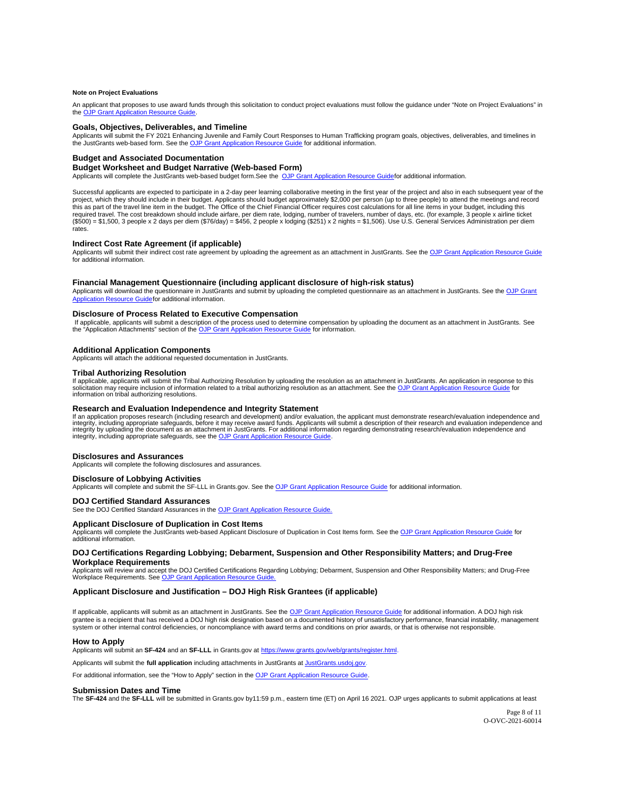### <span id="page-8-0"></span>**Note on Project Evaluations**

An applicant that proposes to use award funds through this solicitation to conduct project evaluations must follow the guidance under "Note on Project Evaluations" in the [OJP Grant Application Resource Guide.](https://www.ojp.gov/funding/apply/ojp-grant-application-resource-guide#project-evaluations)

#### **Goals, Objectives, Deliverables, and Timeline**

Applicants will submit the FY 2021 Enhancing Juvenile and Family Court Responses to Human Trafficking program goals, objectives, deliverables, and timelines in<br>the JustGrants web-based form. See the <u>OJP Grant Application </u>

#### **Budget and Associated Documentation**

#### **Budget Worksheet and Budget Narrative (Web-based Form)**

Applicants will complete the JustGrants web-based budget form. See the OJP Grant Application Resource Guidefor additional information.

Successful applicants are expected to participate in a 2-day peer learning collaborative meeting in the first year of the project and also in each subsequent year of the project, which they should include in their budget. Applicants should budget approximately \$2,000 per person (up to three people) to attend the meetings and record this as part of the travel line item in the budget. The Office of the Chief Financial Officer requires cost calculations for all line items in your budget, including this required travel. The cost breakdown should include airfare, per diem rate, lodging, number of travelers, number of days, etc. (for example, 3 people x airline ticket<br>(\$500) = \$1,500, 3 people x 2 days per diem (\$76/day) = rates.

## **Indirect Cost Rate Agreement (if applicable)**

Applicants will submit their indirect cost rate agreement by uploading the agreement as an attachment in JustGrants. See the [OJP Grant Application Resource Guide](https://www.ojp.gov/funding/apply/ojp-grant-application-resource-guide#budget-prep) for additional information.

## **Financial Management Questionnaire (including applicant disclosure of high-risk status)**

Applicants will download the questionnaire in JustGrants and submit by uploading the completed questionnaire as an attachment in JustGrants. See the OJP Grant Application Resource Guidefor additional information.

### **Disclosure of Process Related to Executive Compensation**

If applicable, applicants will submit a description of the process used to determine compensation by uploading the document as an attachment in JustGrants. See the "Application Attachments" section of the [OJP Grant Application Resource Guide](https://www.ojp.gov/funding/apply/ojp-grant-application-resource-guide#application-attachments) for information.

#### **Additional Application Components**

Applicants will attach the additional requested documentation in JustGrants.

## **Tribal Authorizing Resolution**

If applicable, applicants will submit the Tribal Authorizing Resolution by uploading the resolution as an attachment in JustGrants. An application in response to this solicitation may require inclusion of information related to a tribal authorizing resolution as an attachment. See the [OJP Grant Application Resource Guide](https://www.ojp.gov/funding/apply/ojp-grant-application-resource-guide#tribal-authorizing-resolution) for information on tribal authorizing resolutions.

## **Research and Evaluation Independence and Integrity Statement**

If an application proposes research (including research and development) and/or evaluation, the applicant must demonstrate research/evaluation independence and<br>integrity, including appropriate safeguards, before it may rec integrity, including appropriate safeguards, see the [OJP Grant Application Resource Guide.](https://www.ojp.gov/funding/apply/ojp-grant-application-resource-guide#research-evaluation)

#### **Disclosures and Assurances**

Applicants will complete the following disclosures and assurances.

#### **Disclosure of Lobbying Activities**

Applicants will complete and submit the SF-LLL in [Grants.gov](https://Grants.gov). See the [OJP Grant Application Resource Guide](https://www.ojp.gov/funding/apply/ojp-grant-application-resource-guide#apply) for additional information.

## **DOJ Certified Standard Assurances**

See the DOJ Certified Standard Assurances in the OJP Grant Application Resource Guide.

#### **Applicant Disclosure of Duplication in Cost Items**

Applicants will complete the JustGrants web-based Applicant Disclosure of Duplication in Cost Items form. See the [OJP Grant Application Resource Guide](https://www.ojp.gov/funding/apply/ojp-grant-application-resource-guide#applicant-disclosure-pending-applications) for additional information.

## **DOJ Certifications Regarding Lobbying; Debarment, Suspension and Other Responsibility Matters; and Drug-Free Workplace Requirements**

Applicants will review and accept the DOJ Certified Certifications Regarding Lobbying; Debarment, Suspension and Other Responsibility Matters; and Drug-Free<br>Workplace Requirements. See <u>OJP Grant Application Resource Guide</u>

## **Applicant Disclosure and Justification – DOJ High Risk Grantees (if applicable)**

If applicable, applicants will submit as an attachment in JustGrants. See the [OJP Grant Application Resource Guide](https://www.ojp.gov/funding/apply/ojp-grant-application-resource-guide) for additional information. A DOJ high risk grantee is a recipient that has received a DOJ high risk designation based on a documented history of unsatisfactory performance, financial instability, management system or other internal control deficiencies, or noncompliance with award terms and conditions on prior awards, or that is otherwise not responsible.

#### **How to Apply**

Applicants will submit an **SF-424** and an **SF-LLL** in [Grants.gov](https://Grants.gov) at <https://www.grants.gov/web/grants/register.html>.

Applicants will submit the **full application** including attachments in JustGrants at [JustGrants.usdoj.gov](https://justicegrants.usdoj.gov/).

For additional information, see the "How to Apply" section in the [OJP Grant Application Resource Guide.](https://www.ojp.gov/funding/apply/ojp-grant-application-resource-guide#apply)

#### **Submission Dates and Time**

The SF-424 and the SF-LLL will be submitted in [Grants.gov](https://Grants.gov) by11:59 p.m., eastern time (ET) on April 16 2021. OJP urges applicants to submit applications at least

Page 8 of 11 O-OVC-2021-60014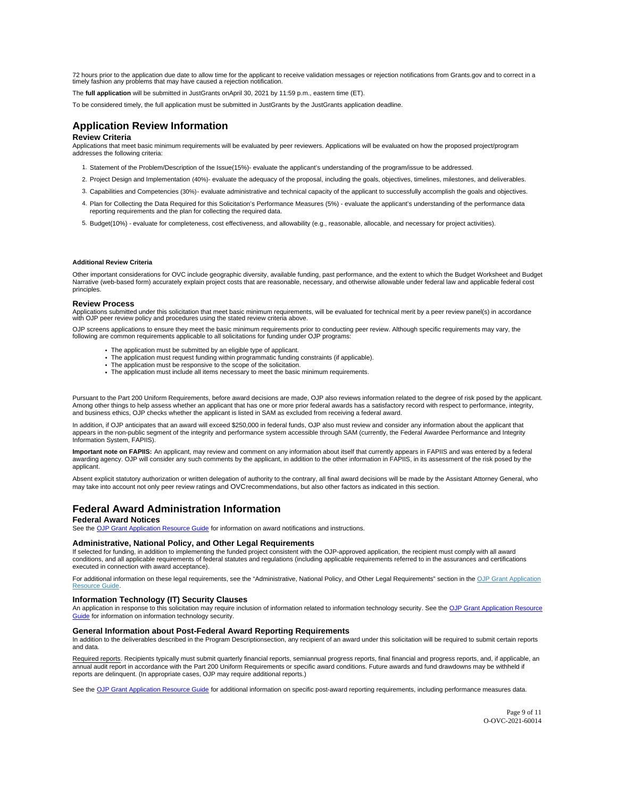<span id="page-9-0"></span>72 hours prior to the application due date to allow time for the applicant to receive validation messages or rejection notifications from [Grants.gov](https://Grants.gov) and to correct in a timely fashion any problems that may have caused a rejection notification.

The **full application** will be submitted in JustGrants on April 30, 2021 by 11:59 p.m., eastern time (ET).

To be considered timely, the full application must be submitted in JustGrants by the JustGrants application deadline.

## **Application Review Information**

## **Review Criteria**

Applications that meet basic minimum requirements will be evaluated by peer reviewers. Applications will be evaluated on how the proposed project/program addresses the following criteria:

- 1. Statement of the Problem/Description of the Issue(15%) evaluate the applicant's understanding of the program/issue to be addressed.
- 2. Project Design and Implementation (40%)- evaluate the adequacy of the proposal, including the goals, objectives, timelines, milestones, and deliverables.
- 3. Capabilities and Competencies (30%)- evaluate administrative and technical capacity of the applicant to successfully accomplish the goals and objectives.
- 4. Plan for Collecting the Data Required for this Solicitation's Performance Measures (5%) evaluate the applicant's understanding of the performance data reporting requirements and the plan for collecting the required data.
- 5. Budget (10%) evaluate for completeness, cost effectiveness, and allowability (e.g., reasonable, allocable, and necessary for project activities).

#### **Additional Review Criteria**

Other important considerations for OVC include geographic diversity, available funding, past performance, and the extent to which the Budget Worksheet and Budget Narrative (web-based form) accurately explain project costs that are reasonable, necessary, and otherwise allowable under federal law and applicable federal cost principles.

#### **Review Process**

Applications submitted under this solicitation that meet basic minimum requirements, will be evaluated for technical merit by a peer review panel(s) in accordance<br>with OJP peer review policy and procedures using the stated

OJP screens applications to ensure they meet the basic minimum requirements prior to conducting peer review. Although specific requirements may vary, the following are common requirements applicable to all solicitations for funding under OJP programs:

- The application must be submitted by an eligible type of applicant.
- The application must request funding within programmatic funding constraints (if applicable). The application must be responsive to the scope of the solicitation.
- 
- The application must include all items necessary to meet the basic minimum requirements.

Pursuant to the Part 200 Uniform Requirements, before award decisions are made, OJP also reviews information related to the degree of risk posed by the applicant. Among other things to help assess whether an applicant that has one or more prior federal awards has a satisfactory record with respect to performance, integrity, and business ethics, OJP checks whether the applicant is listed in SAM as excluded from receiving a federal award.

In addition, if OJP anticipates that an award will exceed \$250,000 in federal funds, OJP also must review and consider any information about the applicant that appears in the non-public segment of the integrity and performance system accessible through SAM (currently, the Federal Awardee Performance and Integrity Information System, FAPIIS).

**Important note on FAPIIS:** An applicant, may review and comment on any information about itself that currently appears in FAPIIS and was entered by a federal awarding agency. OJP will consider any such comments by the applicant, in addition to the other information in FAPIIS, in its assessment of the risk posed by the applicant.

Absent explicit statutory authorization or written delegation of authority to the contrary, all final award decisions will be made by the Assistant Attorney General, who may take into account not only peer review ratings and OVC recommendations, but also other factors as indicated in this section.

## **Federal Award Administration Information**

## **Federal Award Notices**

See the [OJP Grant Application Resource Guide](https://www.ojp.gov/funding/apply/ojp-grant-application-resource-guide#federal-award-notices) for information on award notifications and instructions.

## **Administrative, National Policy, and Other Legal Requirements**

If selected for funding, in addition to implementing the funded project consistent with the OJP-approved application, the recipient must comply with all award<br>conditions, and all applicable requirements of federal statutes executed in connection with award acceptance).

For additional information on these legal requirements, see the "Administrative, National Policy, and Other Legal Requirements" section in the OJP Grant Application [Resource Guide.](https://www.ojp.gov/funding/apply/ojp-grant-application-resource-guide#administrative)

## **Information Technology (IT) Security Clauses**

An application in response to this solicitation may require inclusion of information related to information technology security. See the OJP Grant Application Resource [Guide](https://www.ojp.gov/funding/apply/ojp-grant-application-resource-guide#information-technology) for information on information technology security.

## **General Information about Post-Federal Award Reporting Requirements**

In addition to the deliverables described in the Program Descriptionsection, any recipient of an award under this solicitation will be required to submit certain reports and data.

Required reports. Recipients typically must submit quarterly financial reports, semiannual progress reports, final financial and progress reports, and, if applicable, an annual audit report in accordance with the Part 200 Uniform Requirements or specific award conditions. Future awards and fund drawdowns may be withheld if<br>reports are delinquent. (In appropriate cases, OJP may require addi

See the [OJP Grant Application Resource Guide](https://www.ojp.gov/funding/Apply/Resources/Grant-App-Resource-Guide.htm) for additional information on specific post-award reporting requirements, including performance measures data.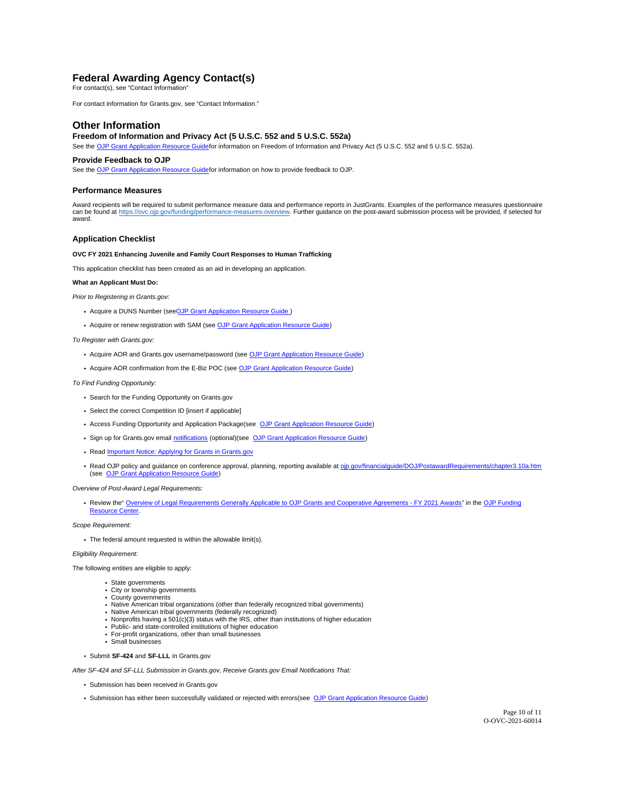## <span id="page-10-0"></span>**Federal Awarding Agency Contact(s)**

For contact(s), see "Contact Information"

For contact information for [Grants.gov,](https://Grants.gov) see "Contact Information."

## **Other Information**

## **Freedom of Information and Privacy Act (5 U.S.C. 552 and 5 U.S.C. 552a)**

See the OJP Grant Application Resource Guidefor information on Freedom of Information and Privacy Act (5 U.S.C. 552 and 5 U.S.C. 552a).

## **Provide Feedback to OJP**

See the OJP Grant Application Resource Guidefor information on how to provide feedback to OJP.

#### **Performance Measures**

Award recipients will be required to submit performance measure data and performance reports in JustGrants. Examples of the performance measures questionnaire can be found at <u>https://ovc.ojp.gov/funding/performance-measures-overview</u>. Further guidance on the post-award submission process will be provided, if selected for<br>award.

## **Application Checklist**

## **OVC FY 2021 Enhancing Juvenile and Family Court Responses to Human Trafficking**

This application checklist has been created as an aid in developing an application.

## **What an Applicant Must Do:**

Prior to Registering in [Grants.gov:](https://Grants.gov)

- Acquire a DUNS Number (see[OJP Grant Application Resource Guide](https://www.ojp.gov/funding/apply/ojp-grant-application-resource-guide#apply))
- Acquire or renew registration with SAM (see [OJP Grant Application Resource Guide\)](https://www.ojp.gov/funding/apply/ojp-grant-application-resource-guide#apply)

To Register with [Grants.gov](https://Grants.gov):

- Acquire AOR and [Grants.gov](https://Grants.gov) username/password (see [OJP Grant Application Resource Guide\)](https://www.ojp.gov/funding/apply/ojp-grant-application-resource-guide#apply)
- Acquire AOR confirmation from the E-Biz POC (see [OJP Grant Application Resource Guide\)](https://www.ojp.gov/funding/apply/ojp-grant-application-resource-guide#apply)

To Find Funding Opportunity:

- Search for the Funding Opportunity on [Grants.gov](https://Grants.gov)
- Select the correct Competition ID [insert if applicable]
- Access Funding Opportunity and Application Package (see [OJP Grant Application Resource Guide\)](https://www.ojp.gov/funding/apply/ojp-grant-application-resource-guide#apply)
- Sign up for [Grants.gov](https://Grants.gov) email [notifications](https://www.grants.gov/web/grants/manage-subscriptions.html) (optional) (see [OJP Grant Application Resource Guide\)](https://www.ojp.gov/funding/apply/ojp-grant-application-resource-guide#apply)
- Read **Important Notice: Applying for Grants in Grants.gov**
- . Read OJP policy and guidance on conference approval, planning, reporting available at [ojp.gov/financialguide/DOJ/PostawardRequirements/chapter3.10a.htm](https://ojp.gov/financialguide/DOJ/PostawardRequirements/chapter3.10a.htm) (see [OJP Grant Application Resource Guide\)](https://www.ojp.gov/funding/apply/ojp-grant-application-resource-guide#prior-approval)

Overview of Post-Award Legal Requirements:

. Review the " [Overview of Legal Requirements Generally Applicable to OJP Grants and Cooperative Agreements - FY 2021 Awards"](https://www.ojp.gov/funding/explore/legal-overview-fy-2021-awards) in the OJP Funding [Resource Center.](https://www.ojp.gov/funding/index.htm)

#### Scope Requirement:

The federal amount requested is within the allowable limit(s).

Eligibility Requirement:

The following entities are eligible to apply:

- State governments
- City or township governments County governments
- Native American tribal organizations (other than federally recognized tribal governments)
- Native American tribal governments (federally recognized)
- Nonprofits having a 501(c)(3) status with the IRS, other than institutions of higher education
- Public- and state-controlled institutions of higher education For-profit organizations, other than small businesses
- Small businesses
- 
- Submit **SF-424** and **SF-LLL** in [Grants.gov](https://Grants.gov)

After SF-424 and SF-LLL Submission in [Grants.gov](https://Grants.gov), Receive [Grants.gov](https://Grants.gov) Email Notifications That:

- Submission has been received in [Grants.gov](https://Grants.gov)
- Submission has either been successfully validated or rejected with errors (see [OJP Grant Application Resource Guide\)](https://www.ojp.gov/funding/apply/ojp-grant-application-resource-guide#apply)